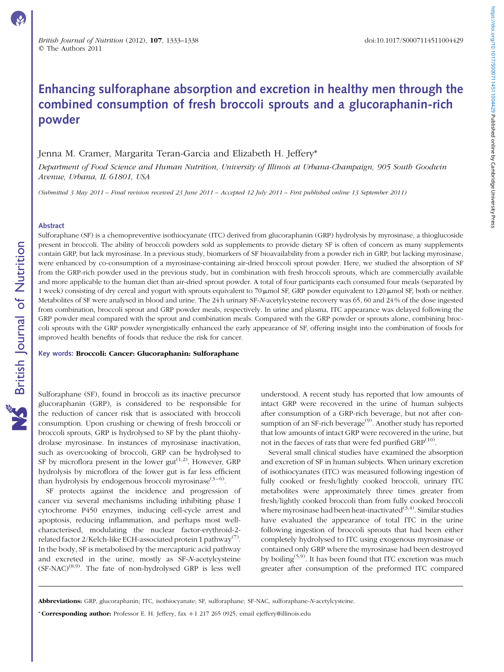# Enhancing sulforaphane absorption and excretion in healthy men through the combined consumption of fresh broccoli sprouts and a glucoraphanin-rich powder

# Jenna M. Cramer, Margarita Teran-Garcia and Elizabeth H. Jeffery\*

Department of Food Science and Human Nutrition, University of Illinois at Urbana-Champaign, 905 South Goodwin Avenue, Urbana, IL 61801, USA

(Submitted 3 May 2011 – Final revision received 23 June 2011 – Accepted 12 July 2011 – First published online 13 September 2011)

#### Abstract

Sulforaphane (SF) is a chemopreventive isothiocyanate (ITC) derived from glucoraphanin (GRP) hydrolysis by myrosinase, a thioglucoside present in broccoli. The ability of broccoli powders sold as supplements to provide dietary SF is often of concern as many supplements contain GRP, but lack myrosinase. In a previous study, biomarkers of SF bioavailability from a powder rich in GRP, but lacking myrosinase, were enhanced by co-consumption of a myrosinase-containing air-dried broccoli sprout powder. Here, we studied the absorption of SF from the GRP-rich powder used in the previous study, but in combination with fresh broccoli sprouts, which are commercially available and more applicable to the human diet than air-dried sprout powder. A total of four participants each consumed four meals (separated by 1 week) consisting of dry cereal and yogurt with sprouts equivalent to 70 μmol SF, GRP powder equivalent to 120 μmol SF, both or neither. Metabolites of SF were analysed in blood and urine. The 24 h urinary SF-N-acetylcysteine recovery was 65, 60 and 24 % of the dose ingested from combination, broccoli sprout and GRP powder meals, respectively. In urine and plasma, ITC appearance was delayed following the GRP powder meal compared with the sprout and combination meals. Compared with the GRP powder or sprouts alone, combining broccoli sprouts with the GRP powder synergistically enhanced the early appearance of SF, offering insight into the combination of foods for improved health benefits of foods that reduce the risk for cancer.

Key words: Broccoli: Cancer: Glucoraphanin: Sulforaphane

Sulforaphane (SF), found in broccoli as its inactive precursor glucoraphanin (GRP), is considered to be responsible for the reduction of cancer risk that is associated with broccoli consumption. Upon crushing or chewing of fresh broccoli or broccoli sprouts, GRP is hydrolysed to SF by the plant thiohydrolase myrosinase. In instances of myrosinase inactivation, such as overcooking of broccoli, GRP can be hydrolysed to SF by microflora present in the lower gut<sup> $(1,2)$ </sup>. However, GRP hydrolysis by microflora of the lower gut is far less efficient than hydrolysis by endogenous broccoli myrosinase $(3-6)$ .

SF protects against the incidence and progression of cancer via several mechanisms including inhibiting phase I cytochrome P450 enzymes, inducing cell-cycle arrest and apoptosis, reducing inflammation, and perhaps most wellcharacterised, modulating the nuclear factor-erythroid-2 related factor 2/Kelch-like ECH-associated protein 1 pathway<sup>(7)</sup>. In the body, SF is metabolised by the mercapturic acid pathway and excreted in the urine, mostly as SF-N-acetylcysteine  $(SF- NAC)^{(8,9)}$ . The fate of non-hydrolysed GRP is less well

understood. A recent study has reported that low amounts of intact GRP were recovered in the urine of human subjects after consumption of a GRP-rich beverage, but not after consumption of an SF-rich beverage<sup>(9)</sup>. Another study has reported that low amounts of intact GRP were recovered in the urine, but not in the faeces of rats that were fed purified GRP<sup>(10)</sup>.

Several small clinical studies have examined the absorption and excretion of SF in human subjects. When urinary excretion of isothiocyanates (ITC) was measured following ingestion of fully cooked or fresh/lightly cooked broccoli, urinary ITC metabolites were approximately three times greater from fresh/lightly cooked broccoli than from fully cooked broccoli where myrosinase had been heat-inactivated<sup>(3,4)</sup>. Similar studies have evaluated the appearance of total ITC in the urine following ingestion of broccoli sprouts that had been either completely hydrolysed to ITC using exogenous myrosinase or contained only GRP where the myrosinase had been destroyed by boiling(5,9). It has been found that ITC excretion was much greater after consumption of the preformed ITC compared

Abbreviations: GRP, glucoraphanin; ITC, isothiocyanate; SF, sulforaphane; SF-NAC, sulforaphane-N-acetylcysteine.

\* Corresponding author: Professor E. H. Jeffery, fax *þ*1 217 265 0925, email ejeffery@illinois.edu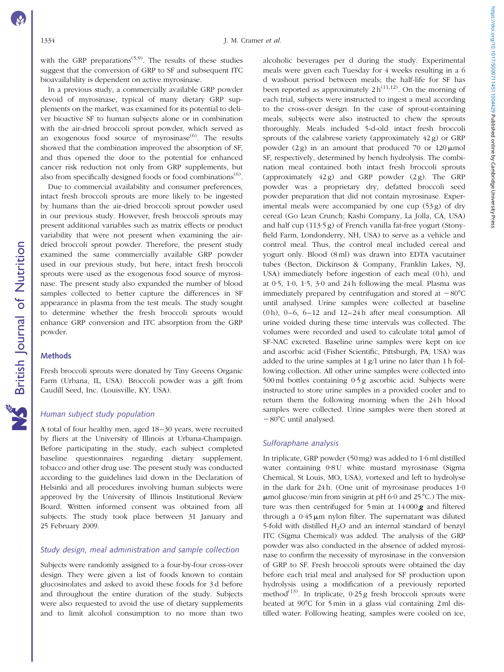with the GRP preparations<sup> $(5,9)$ </sup>. The results of these studies suggest that the conversion of GRP to SF and subsequent ITC bioavailability is dependent on active myrosinase.

In a previous study, a commercially available GRP powder devoid of myrosinase, typical of many dietary GRP supplements on the market, was examined for its potential to deliver bioactive SF to human subjects alone or in combination with the air-dried broccoli sprout powder, which served as an exogenous food source of myrosinase<sup>(6)</sup>. The results showed that the combination improved the absorption of SF, and thus opened the door to the potential for enhanced cancer risk reduction not only from GRP supplements, but also from specifically designed foods or food combinations<sup> $(6)$ </sup>.

Due to commercial availability and consumer preferences, intact fresh broccoli sprouts are more likely to be ingested by humans than the air-dried broccoli sprout powder used in our previous study. However, fresh broccoli sprouts may present additional variables such as matrix effects or product variability that were not present when examining the airdried broccoli sprout powder. Therefore, the present study examined the same commercially available GRP powder used in our previous study, but here, intact fresh broccoli sprouts were used as the exogenous food source of myrosinase. The present study also expanded the number of blood samples collected to better capture the differences in SF appearance in plasma from the test meals. The study sought to determine whether the fresh broccoli sprouts would enhance GRP conversion and ITC absorption from the GRP powder.

# Methods

Fresh broccoli sprouts were donated by Tiny Greens Organic Farm (Urbana, IL, USA). Broccoli powder was a gift from Caudill Seed, Inc. (Louisville, KY, USA).

# Human subject study population

A total of four healthy men, aged 18–30 years, were recruited by fliers at the University of Illinois at Urbana-Champaign. Before participating in the study, each subject completed baseline questionnaires regarding dietary supplement, tobacco and other drug use. The present study was conducted according to the guidelines laid down in the Declaration of Helsinki and all procedures involving human subjects were approved by the University of Illinois Institutional Review Board. Written informed consent was obtained from all subjects. The study took place between 31 January and 25 February 2009.

## Study design, meal administration and sample collection

Subjects were randomly assigned to a four-by-four cross-over design. They were given a list of foods known to contain glucosinolates and asked to avoid these foods for 3 d before and throughout the entire duration of the study. Subjects were also requested to avoid the use of dietary supplements and to limit alcohol consumption to no more than two

alcoholic beverages per d during the study. Experimental meals were given each Tuesday for 4 weeks resulting in a 6 d washout period between meals; the half-life for SF has been reported as approximately  $2 h^{(11,12)}$ . On the morning of each trial, subjects were instructed to ingest a meal according to the cross-over design. In the case of sprout-containing meals, subjects were also instructed to chew the sprouts thoroughly. Meals included 5-d-old intact fresh broccoli sprouts of the calabrese variety (approximately 42 g) or GRP powder (2 g) in an amount that produced 70 or  $120 \mu$ mol SF, respectively, determined by bench hydrolysis. The combination meal contained both intact fresh broccoli sprouts (approximately 42 g) and GRP powder (2 g). The GRP powder was a proprietary dry, defatted broccoli seed powder preparation that did not contain myrosinase. Experimental meals were accompanied by one cup (53 g) of dry cereal (Go Lean Crunch; Kashi Company, La Jolla, CA, USA) and half cup (113·5 g) of French vanilla fat-free yogurt (Stonyfield Farm, Londonderry, NH, USA) to serve as a vehicle and control meal. Thus, the control meal included cereal and yogurt only. Blood (8 ml) was drawn into EDTA vacutainer tubes (Becton, Dickinson & Company, Franklin Lakes, NJ, USA) immediately before ingestion of each meal (0h), and at 0·5, 1·0, 1·5, 3·0 and 24 h following the meal. Plasma was immediately prepared by centrifugation and stored at  $-80^{\circ}$ C until analysed. Urine samples were collected at baseline (0 h),  $0-6$ ,  $6-12$  and  $12-24$  h after meal consumption. All urine voided during these time intervals was collected. The volumes were recorded and used to calculate total  $\mu$ mol of SF-NAC excreted. Baseline urine samples were kept on ice and ascorbic acid (Fisher Scientific, Pittsburgh, PA, USA) was added to the urine samples at 1 g/l urine no later than 1 h following collection. All other urine samples were collected into 500 ml bottles containing 0·5 g ascorbic acid. Subjects were instructed to store urine samples in a provided cooler and to return them the following morning when the 24h blood samples were collected. Urine samples were then stored at  $-80^{\circ}$ C until analysed.

# Sulforaphane analysis

In triplicate, GRP powder (50 mg) was added to 1·6 ml distilled water containing 0.8 U white mustard myrosinase (Sigma Chemical, St Louis, MO, USA), vortexed and left to hydrolyse in the dark for  $24 h$ . (One unit of myrosinase produces  $1·0$  $\mu$ mol glucose/min from sinigrin at pH 6·0 and 25 °C.) The mixture was then centrifuged for  $5 \text{ min}$  at  $14000 \text{ g}$  and filtered through a  $0.45 \mu m$  nylon filter. The supernatant was diluted 5-fold with distilled  $H_2O$  and an internal standard of benzyl ITC (Sigma Chemical) was added. The analysis of the GRP powder was also conducted in the absence of added myrosinase to confirm the necessity of myrosinase in the conversion of GRP to SF. Fresh broccoli sprouts were obtained the day before each trial meal and analysed for SF production upon hydrolysis using a modification of a previously reported method<sup>(13)</sup>. In triplicate,  $0.25$  g fresh broccoli sprouts were heated at  $90^{\circ}$ C for 5 min in a glass vial containing 2 ml distilled water. Following heating, samples were cooled on ice,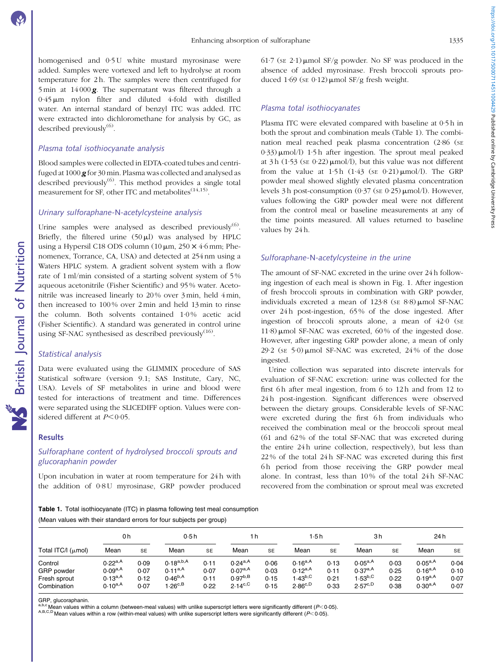homogenised and 0·5 U white mustard myrosinase were added. Samples were vortexed and left to hydrolyse at room temperature for 2 h. The samples were then centrifuged for 5 min at  $14000 \text{ g}$ . The supernatant was filtered through a  $0.45 \,\mu\text{m}$  nylon filter and diluted 4-fold with distilled water. An internal standard of benzyl ITC was added. ITC were extracted into dichloromethane for analysis by GC, as described previously $^{(6)}$ .

# Plasma total isothiocyanate analysis

Blood samples were collected in EDTA-coated tubes and centrifuged at 1000 **g** for 30 min. Plasma was collected and analysed as described previously<sup>(6)</sup>. This method provides a single total measurement for SF, other ITC and metabolites<sup>(14,15)</sup>.

# Urinary sulforaphane-N-acetylcysteine analysis

Urine samples were analysed as described previously $<sup>(6)</sup>$ .</sup> Briefly, the filtered urine  $(50 \,\mu\text{I})$  was analysed by HPLC using a Hypersil C18 ODS column  $(10 \mu m, 250 \times 4.6 \text{ mm};$  Phenomenex, Torrance, CA, USA) and detected at 254 nm using a Waters HPLC system. A gradient solvent system with a flow rate of 1 ml/min consisted of a starting solvent system of 5 % aqueous acetonitrile (Fisher Scientific) and 95 % water. Acetonitrile was increased linearly to 20 % over 3 min, held 4 min, then increased to 100 % over 2 min and held 13 min to rinse the column. Both solvents contained 1·0 % acetic acid (Fisher Scientific). A standard was generated in control urine using SF-NAC synthesised as described previously $(16)$ .

# Statistical analysis

Data were evaluated using the GLIMMIX procedure of SAS Statistical software (version 9.1; SAS Institute, Cary, NC, USA). Levels of SF metabolites in urine and blood were tested for interactions of treatment and time. Differences were separated using the SLICEDIFF option. Values were considered different at  $P < 0.05$ .

# Results

# Sulforaphane content of hydrolysed broccoli sprouts and glucoraphanin powder

Upon incubation in water at room temperature for 24 h with the addition of 0<sup>.8</sup>U myrosinase, GRP powder produced 61.7 (se 2.1) umol SF/g powder. No SF was produced in the absence of added myrosinase. Fresh broccoli sprouts produced 1.69 (SE 0.12)  $\mu$ mol SF/g fresh weight.

# Plasma total isothiocyanates

Plasma ITC were elevated compared with baseline at 0·5 h in both the sprout and combination meals (Table 1). The combination meal reached peak plasma concentration (2·86 (SE  $(0.33)$   $\mu$ mol/l) 1.5 h after ingestion. The sprout meal peaked at  $3 h$  (1.53 (SE 0.22)  $\mu$ mol/l), but this value was not different from the value at 1.5 h  $(1.43 \text{ (s} \text{E} 0.21) \mu \text{mol/l})$ . The GRP powder meal showed slightly elevated plasma concentration levels 3 h post-consumption  $(0.37$  (se  $0.25)$   $\mu$ mol/l). However, values following the GRP powder meal were not different from the control meal or baseline measurements at any of the time points measured. All values returned to baseline values by 24 h.

# Sulforaphane-N-acetylcysteine in the urine

The amount of SF-NAC excreted in the urine over 24 h following ingestion of each meal is shown in [Fig. 1](#page-3-0). After ingestion of fresh broccoli sprouts in combination with GRP powder, individuals excreted a mean of  $123.8$  (se  $8.8$ )  $\mu$ mol SF-NAC over 24 h post-ingestion, 65 % of the dose ingested. After ingestion of broccoli sprouts alone, a mean of 42·0 (SE 11.8)  $\mu$ mol SF-NAC was excreted, 60% of the ingested dose. However, after ingesting GRP powder alone, a mean of only 29·2 ( $SE$  5·0)  $\mu$ mol SF-NAC was excreted, 24% of the dose ingested.

Urine collection was separated into discrete intervals for evaluation of SF-NAC excretion: urine was collected for the first 6h after meal ingestion, from 6 to 12h and from 12 to 24 h post-ingestion. Significant differences were observed between the dietary groups. Considerable levels of SF-NAC were excreted during the first 6h from individuals who received the combination meal or the broccoli sprout meal (61 and 62 % of the total SF-NAC that was excreted during the entire 24 h urine collection, respectively), but less than 22 % of the total 24 h SF-NAC was excreted during this first 6 h period from those receiving the GRP powder meal alone. In contrast, less than 10 % of the total 24 h SF-NAC recovered from the combination or sprout meal was excreted

Table 1. Total isothiocyanate (ITC) in plasma following test meal consumption (Mean values with their standard errors for four subjects per group)

| Total ITC/I (µmol)                                   | 0h                                                           |                              | 0.5h                                                                        |                              | 1 h                                                          |                              | 1.5 h                                                       |                              | 3h                                                               |                              | 24 h                                                         |                              |
|------------------------------------------------------|--------------------------------------------------------------|------------------------------|-----------------------------------------------------------------------------|------------------------------|--------------------------------------------------------------|------------------------------|-------------------------------------------------------------|------------------------------|------------------------------------------------------------------|------------------------------|--------------------------------------------------------------|------------------------------|
|                                                      | Mean                                                         | <b>SE</b>                    | Mean                                                                        | <b>SE</b>                    | Mean                                                         | <b>SE</b>                    | Mean                                                        | <b>SE</b>                    | Mean                                                             | <b>SE</b>                    | Mean                                                         | <b>SE</b>                    |
| Control<br>GRP powder<br>Fresh sprout<br>Combination | $0.22^{a,A}$<br>$0.09^{a,A}$<br>$0.13^{a,A}$<br>$0.10^{a,A}$ | 0.09<br>0.07<br>0.12<br>0.07 | $0.18^{\rm a,b,A}$<br>$0.11^{a,A}$<br>$0.46^{b,A}$<br>$1.26^{\mathrm{c,B}}$ | 0.11<br>0.07<br>0.11<br>0.22 | $0.24^{a,A}$<br>$0.07^{a,A}$<br>$0.97^{b,B}$<br>$2.14^{c,C}$ | 0.06<br>0.03<br>0.15<br>0.15 | $0.16^{a,A}$<br>$0.12^{a,A}$<br>$.43^{b,C}$<br>$2.86^{c,D}$ | 0.13<br>0.11<br>0.21<br>0.33 | $0.05^{a,A}$<br>$0.37^{a,A}$<br>$1.53^{\rm b,C}$<br>$2.57^{c,D}$ | 0.03<br>0.25<br>0.22<br>0.38 | $0.05^{a,A}$<br>$0.16^{a,A}$<br>$0.19^{a,A}$<br>$0.30^{a,A}$ | 0.04<br>0.10<br>0.07<br>0.07 |

GRP, glucoraphanin.<br><sup>a,b,c</sup>Mean values within a column (between-meal values) with unlike superscript letters were significantly different (P<0.05).

A,B,C,D Mean values within a row (within-meal values) with unlike superscript letters were significantly different  $(P<0.05)$ .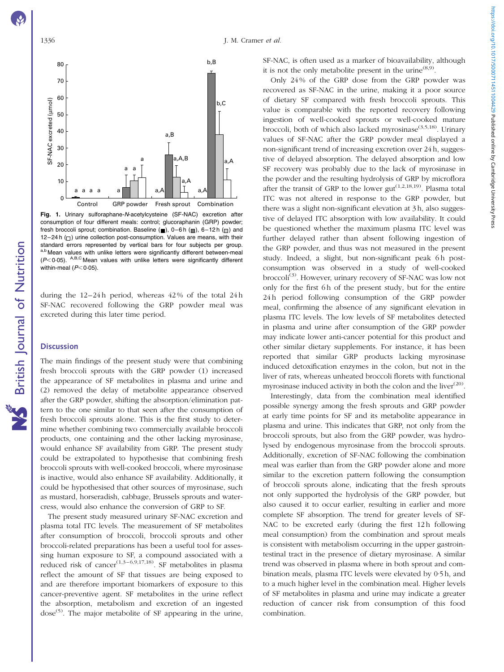<span id="page-3-0"></span>

Fig. 1. Urinary sulforaphane-N-acetylcysteine (SF-NAC) excretion after consumption of four different meals: control; glucoraphanin (GRP) powder; fresh broccoli sprout; combination. Baseline  $(\blacksquare)$ , 0–6 h  $(\blacksquare)$ , 6–12 h  $(\blacksquare)$  and 12–24 h  $($  $)$  urine collection post-consumption. Values are means, with their standard errors represented by vertical bars for four subjects per group. a,b Mean values with unlike letters were significantly different between-meal  $(P<0.05)$ . A,B,C Mean values with unlike letters were significantly different within-meal  $(P<0.05)$ .

during the 12–24 h period, whereas 42 % of the total 24 h SF-NAC recovered following the GRP powder meal was excreted during this later time period.

## **Discussion**

The main findings of the present study were that combining fresh broccoli sprouts with the GRP powder (1) increased the appearance of SF metabolites in plasma and urine and (2) removed the delay of metabolite appearance observed after the GRP powder, shifting the absorption/elimination pattern to the one similar to that seen after the consumption of fresh broccoli sprouts alone. This is the first study to determine whether combining two commercially available broccoli products, one containing and the other lacking myrosinase, would enhance SF availability from GRP. The present study could be extrapolated to hypothesise that combining fresh broccoli sprouts with well-cooked broccoli, where myrosinase is inactive, would also enhance SF availability. Additionally, it could be hypothesised that other sources of myrosinase, such as mustard, horseradish, cabbage, Brussels sprouts and watercress, would also enhance the conversion of GRP to SF.

The present study measured urinary SF-NAC excretion and plasma total ITC levels. The measurement of SF metabolites after consumption of broccoli, broccoli sprouts and other broccoli-related preparations has been a useful tool for assessing human exposure to SF, a compound associated with a reduced risk of cancer<sup>(1,3–6,9,17,18)</sup>. SF metabolites in plasma reflect the amount of SF that tissues are being exposed to and are therefore important biomarkers of exposure to this cancer-preventive agent. SF metabolites in the urine reflect the absorption, metabolism and excretion of an ingested dose<sup>(5)</sup>. The major metabolite of SF appearing in the urine, SF-NAC, is often used as a marker of bioavailability, although it is not the only metabolite present in the urine<sup> $(8,9)$ </sup>.

Only 24 % of the GRP dose from the GRP powder was recovered as SF-NAC in the urine, making it a poor source of dietary SF compared with fresh broccoli sprouts. This value is comparable with the reported recovery following ingestion of well-cooked sprouts or well-cooked mature broccoli, both of which also lacked myrosinase<sup>(3,5,18)</sup>. Urinary values of SF-NAC after the GRP powder meal displayed a non-significant trend of increasing excretion over 24 h, suggestive of delayed absorption. The delayed absorption and low SF recovery was probably due to the lack of myrosinase in the powder and the resulting hydrolysis of GRP by microflora after the transit of GRP to the lower gut<sup> $(1,2,18,19)$ </sup>. Plasma total ITC was not altered in response to the GRP powder, but there was a slight non-significant elevation at 3 h, also suggestive of delayed ITC absorption with low availability. It could be questioned whether the maximum plasma ITC level was further delayed rather than absent following ingestion of the GRP powder, and thus was not measured in the present study. Indeed, a slight, but non-significant peak 6h postconsumption was observed in a study of well-cooked broccoli<sup>(3)</sup>. However, urinary recovery of SF-NAC was low not only for the first 6 h of the present study, but for the entire 24 h period following consumption of the GRP powder meal, confirming the absence of any significant elevation in plasma ITC levels. The low levels of SF metabolites detected in plasma and urine after consumption of the GRP powder may indicate lower anti-cancer potential for this product and other similar dietary supplements. For instance, it has been reported that similar GRP products lacking myrosinase induced detoxification enzymes in the colon, but not in the liver of rats, whereas unheated broccoli florets with functional myrosinase induced activity in both the colon and the liver<sup>(20)</sup>.

Interestingly, data from the combination meal identified possible synergy among the fresh sprouts and GRP powder at early time points for SF and its metabolite appearance in plasma and urine. This indicates that GRP, not only from the broccoli sprouts, but also from the GRP powder, was hydrolysed by endogenous myrosinase from the broccoli sprouts. Additionally, excretion of SF-NAC following the combination meal was earlier than from the GRP powder alone and more similar to the excretion pattern following the consumption of broccoli sprouts alone, indicating that the fresh sprouts not only supported the hydrolysis of the GRP powder, but also caused it to occur earlier, resulting in earlier and more complete SF absorption. The trend for greater levels of SF-NAC to be excreted early (during the first 12h following meal consumption) from the combination and sprout meals is consistent with metabolism occurring in the upper gastrointestinal tract in the presence of dietary myrosinase. A similar trend was observed in plasma where in both sprout and combination meals, plasma ITC levels were elevated by 0·5 h, and to a much higher level in the combination meal. Higher levels of SF metabolites in plasma and urine may indicate a greater reduction of cancer risk from consumption of this food combination.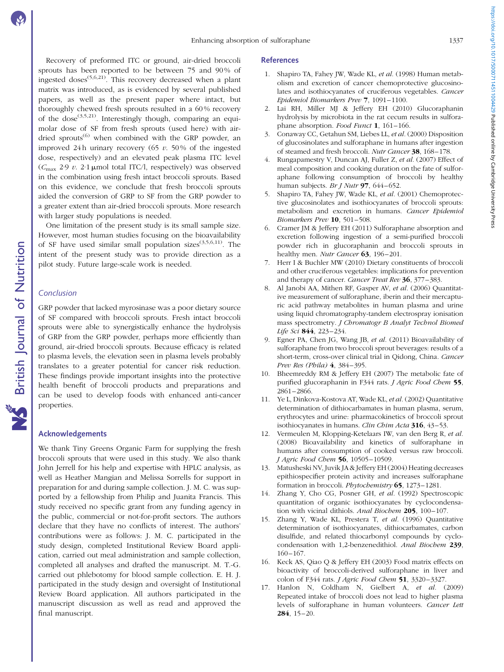Recovery of preformed ITC or ground, air-dried broccoli sprouts has been reported to be between 75 and 90 % of ingested doses<sup> $(5,6,21)$ </sup>. This recovery decreased when a plant matrix was introduced, as is evidenced by several published papers, as well as the present paper where intact, but thoroughly chewed fresh sprouts resulted in a 60 % recovery of the dose<sup> $(3,5,21)$ </sup>. Interestingly though, comparing an equimolar dose of SF from fresh sprouts (used here) with airdried sprouts<sup>(6)</sup> when combined with the GRP powder, an improved 24 h urinary recovery (65  $\nu$ , 50% of the ingested dose, respectively) and an elevated peak plasma ITC level  $(C_{\text{max}} 2.9 v. 2.1 \mu \text{mol}$  total ITC/l, respectively) was observed in the combination using fresh intact broccoli sprouts. Based on this evidence, we conclude that fresh broccoli sprouts aided the conversion of GRP to SF from the GRP powder to a greater extent than air-dried broccoli sprouts. More research with larger study populations is needed.

One limitation of the present study is its small sample size. However, most human studies focusing on the bioavailability of SF have used similar small population sizes<sup>(3,5,6,11)</sup>. The intent of the present study was to provide direction as a pilot study. Future large-scale work is needed.

#### Conclusion

GRP powder that lacked myrosinase was a poor dietary source of SF compared with broccoli sprouts. Fresh intact broccoli sprouts were able to synergistically enhance the hydrolysis of GRP from the GRP powder, perhaps more efficiently than ground, air-dried broccoli sprouts. Because efficacy is related to plasma levels, the elevation seen in plasma levels probably translates to a greater potential for cancer risk reduction. These findings provide important insights into the protective health benefit of broccoli products and preparations and can be used to develop foods with enhanced anti-cancer properties.

# Acknowledgements

We thank Tiny Greens Organic Farm for supplying the fresh broccoli sprouts that were used in this study. We also thank John Jerrell for his help and expertise with HPLC analysis, as well as Heather Mangian and Melissa Sorrells for support in preparation for and during sample collection. J. M. C. was supported by a fellowship from Philip and Juanita Francis. This study received no specific grant from any funding agency in the public, commercial or not-for-profit sectors. The authors declare that they have no conflicts of interest. The authors' contributions were as follows: J. M. C. participated in the study design, completed Institutional Review Board application, carried out meal administration and sample collection, completed all analyses and drafted the manuscript. M. T.-G. carried out phlebotomy for blood sample collection. E. H. J. participated in the study design and oversight of Institutional Review Board application. All authors participated in the manuscript discussion as well as read and approved the final manuscript.

#### References

- 1. Shapiro TA, Fahey JW, Wade KL, et al. (1998) Human metabolism and excretion of cancer chemoprotective glucosinolates and isothiocyanates of cruciferous vegetables. Cancer Epidemiol Biomarkers Prev 7, 1091–1100.
- 2. Lai RH, Miller MJ & Jeffery EH (2010) Glucoraphanin hydrolysis by microbiota in the rat cecum results in sulforaphane absorption. Food Funct 1, 161-166.
- 3. Conaway CC, Getahun SM, Liebes LL, et al. (2000) Disposition of glucosinolates and sulforaphane in humans after ingestion of steamed and fresh broccoli. Nutr Cancer 38, 168–178.
- 4. Rungapamestry V, Duncan AJ, Fuller Z, et al. (2007) Effect of meal composition and cooking duration on the fate of sulforaphane following consumption of broccoli by healthy human subjects. Br J Nutr  $97,644-652$ .
- 5. Shapiro TA, Fahey JW, Wade KL, et al. (2001) Chemoprotective glucosinolates and isothiocyanates of broccoli sprouts: metabolism and excretion in humans. Cancer Epidemiol Biomarkers Prev 10, 501-508.
- 6. Cramer JM & Jeffery EH (2011) Sulforaphane absorption and excretion following ingestion of a semi-purified broccoli powder rich in glucoraphanin and broccoli sprouts in healthy men. Nutr Cancer 63, 196–201.
- 7. Herr I & Buchler MW (2010) Dietary constituents of broccoli and other cruciferous vegetables: implications for prevention and therapy of cancer. Cancer Treat Rev 36, 377-383.
- 8. Al Janobi AA, Mithen RF, Gasper AV, et al. (2006) Quantitative measurement of sulforaphane, iberin and their mercapturic acid pathway metabolites in human plasma and urine using liquid chromatography-tandem electrospray ionisation mass spectrometry. J Chromatogr B Analyt Technol Biomed Life Sci 844, 223-234.
- 9. Egner PA, Chen JG, Wang JB, et al. (2011) Bioavailability of sulforaphane from two broccoli sprout beverages: results of a short-term, cross-over clinical trial in Qidong, China. Cancer Prev Res (Phila) 4, 384–395.
- 10. Bheemreddy RM & Jeffery EH (2007) The metabolic fate of purified glucoraphanin in F344 rats. *J Agric Food Chem* 55, 2861–2866.
- 11. Ye L, Dinkova-Kostova AT, Wade KL, et al. (2002) Quantitative determination of dithiocarbamates in human plasma, serum, erythrocytes and urine: pharmacokinetics of broccoli sprout isothiocyanates in humans. Clin Chim Acta 316, 43-53.
- 12. Vermeulen M, Klopping-Ketelaars IW, van den Berg R, et al. (2008) Bioavailability and kinetics of sulforaphane in humans after consumption of cooked versus raw broccoli. J Agric Food Chem 56, 10505–10509.
- 13. Matusheski NV, Juvik JA & Jeffery EH (2004) Heating decreases epithiospecifier protein activity and increases sulforaphane formation in broccoli. Phytochemistry 65, 1273–1281.
- 14. Zhang Y, Cho CG, Posner GH, et al. (1992) Spectroscopic quantitation of organic isothiocyanates by cyclocondensation with vicinal dithiols. Anal Biochem 205, 100-107.
- 15. Zhang Y, Wade KL, Prestera T, et al. (1996) Quantitative determination of isothiocyanates, dithiocarbamates, carbon disulfide, and related thiocarbonyl compounds by cyclocondensation with 1,2-benzenedithiol. Anal Biochem 239, 160–167.
- 16. Keck AS, Qiao Q & Jeffery EH (2003) Food matrix effects on bioactivity of broccoli-derived sulforaphane in liver and colon of F344 rats. *J Agric Food Chem* 51, 3320-3327.
- 17. Hanlon N, Coldham N, Gielbert A, et al. (2009) Repeated intake of broccoli does not lead to higher plasma levels of sulforaphane in human volunteers. Cancer Lett 284, 15–20.